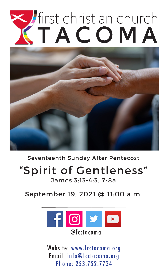# Tirst christian church



Seventeenth Sunday After Pentecost

# "Spirit of Gentleness"

James 3:13-4:3. 7-8a

September 19, 2021 @ 11:00 a.m.



Website: www.fcctacoma.org Email: info@fcctacoma.org Phone: 253.752.7734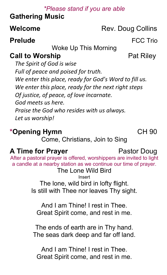## *\*Please stand if you are able*

# **Gathering Music**

# **Welcome** Rev. Doug Collins

# **Prelude** FCC Trio

Woke Up This Morning

# **Call to Worship Pat Riley**

*The Spirit of God is wise Full of peace and poised for truth. We enter this place, ready for God's Word to fill us. We enter this place, ready for the next right steps Of justice, of peace, of love incarnate. God meets us here. Praise the God who resides with us always. Let us worship!*

# **\*Opening Hymn** CH 90

Come, Christians, Join to Sing

# **A Time for Prayer** Pastor Doug

After a pastoral prayer is offered, worshippers are invited to light a candle at a nearby station as we continue our time of prayer.

The Lone Wild Bird Insert The lone, wild bird in lofty flight. Is still with Thee nor leaves Thy sight.

And I am Thine! I rest in Thee. Great Spirit come, and rest in me.

The ends of earth are in Thy hand. The seas dark deep and far off land.

And I am Thine! I rest in Thee. Great Spirit come, and rest in me.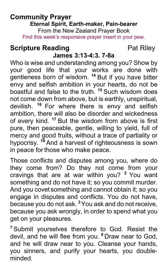# **Community Prayer Eternal Spirit, Earth-maker, Pain-bearer**

From the New Zealand Prayer Book Find this week's responsive prayer insert in your pew.

# **Scripture Reading**  Pat Riley

# **James 3:13-4:3. 7-8a**

Who is wise and understanding among you? Show by your good life that your works are done with gentleness born of wisdom. **<sup>14</sup>** But if you have bitter envy and selfish ambition in your hearts, do not be boastful and false to the truth. **<sup>15</sup>** Such wisdom does not come down from above, but is earthly, unspiritual, devilish. **<sup>16</sup>** For where there is envy and selfish ambition, there will also be disorder and wickedness of every kind. **<sup>17</sup>** But the wisdom from above is first pure, then peaceable, gentle, willing to yield, full of mercy and good fruits, without a trace of partiality or hypocrisy. **<sup>18</sup>** And a harvest of righteousness is sown in peace for those who make peace.

Those conflicts and disputes among you, where do they come from? Do they not come from your cravings that are at war within you? **<sup>2</sup>** You want something and do not have it; so you commit murder. And you covet something and cannot obtain it; so you engage in disputes and conflicts. You do not have, because you do not ask. **<sup>3</sup>**You ask and do not receive, because you ask wrongly, in order to spend what you get on your pleasures.

**<sup>7</sup>** Submit yourselves therefore to God. Resist the devil, and he will flee from you. **<sup>8</sup>** Draw near to God, and he will draw near to you. Cleanse your hands, you sinners, and purify your hearts, you doubleminded.